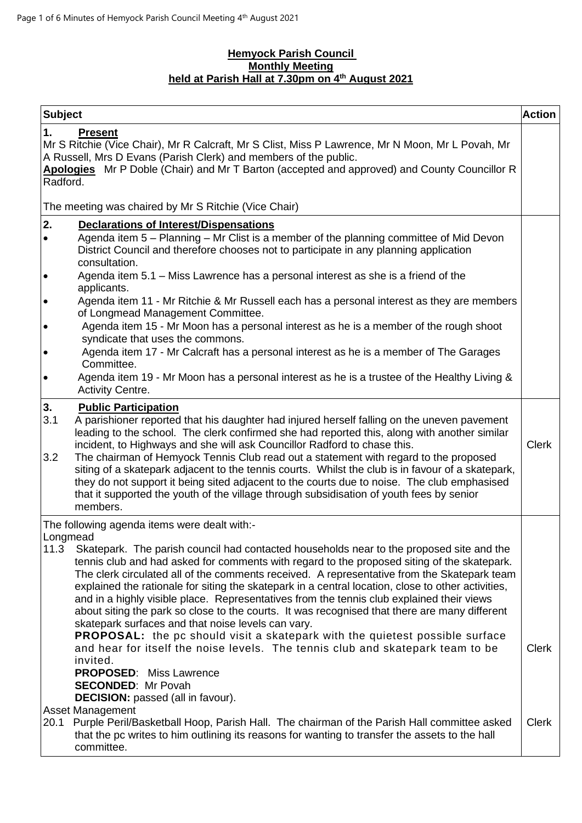#### **Hemyock Parish Council Monthly Meeting held at Parish Hall at 7.30pm on 4 th August 2021**

| <b>Subject</b>         |                                                                                                                                                                                                                                                                                                                                                                                                                                                                                                                                                                                                                                                                                                                                                                                                                                                                                                                                                                                           | <b>Action</b> |
|------------------------|-------------------------------------------------------------------------------------------------------------------------------------------------------------------------------------------------------------------------------------------------------------------------------------------------------------------------------------------------------------------------------------------------------------------------------------------------------------------------------------------------------------------------------------------------------------------------------------------------------------------------------------------------------------------------------------------------------------------------------------------------------------------------------------------------------------------------------------------------------------------------------------------------------------------------------------------------------------------------------------------|---------------|
| 1.<br>Radford.         | <b>Present</b><br>Mr S Ritchie (Vice Chair), Mr R Calcraft, Mr S Clist, Miss P Lawrence, Mr N Moon, Mr L Povah, Mr<br>A Russell, Mrs D Evans (Parish Clerk) and members of the public.<br>Apologies Mr P Doble (Chair) and Mr T Barton (accepted and approved) and County Councillor R                                                                                                                                                                                                                                                                                                                                                                                                                                                                                                                                                                                                                                                                                                    |               |
|                        | The meeting was chaired by Mr S Ritchie (Vice Chair)                                                                                                                                                                                                                                                                                                                                                                                                                                                                                                                                                                                                                                                                                                                                                                                                                                                                                                                                      |               |
| 2.<br>$\bullet$        | <b>Declarations of Interest/Dispensations</b><br>Agenda item 5 – Planning – Mr Clist is a member of the planning committee of Mid Devon<br>District Council and therefore chooses not to participate in any planning application<br>consultation.                                                                                                                                                                                                                                                                                                                                                                                                                                                                                                                                                                                                                                                                                                                                         |               |
| $\bullet$              | Agenda item 5.1 - Miss Lawrence has a personal interest as she is a friend of the<br>applicants.                                                                                                                                                                                                                                                                                                                                                                                                                                                                                                                                                                                                                                                                                                                                                                                                                                                                                          |               |
| $\bullet$              | Agenda item 11 - Mr Ritchie & Mr Russell each has a personal interest as they are members<br>of Longmead Management Committee.                                                                                                                                                                                                                                                                                                                                                                                                                                                                                                                                                                                                                                                                                                                                                                                                                                                            |               |
| $\bullet$<br>$\bullet$ | Agenda item 15 - Mr Moon has a personal interest as he is a member of the rough shoot<br>syndicate that uses the commons.<br>Agenda item 17 - Mr Calcraft has a personal interest as he is a member of The Garages                                                                                                                                                                                                                                                                                                                                                                                                                                                                                                                                                                                                                                                                                                                                                                        |               |
| $\bullet$              | Committee.<br>Agenda item 19 - Mr Moon has a personal interest as he is a trustee of the Healthy Living &<br><b>Activity Centre.</b>                                                                                                                                                                                                                                                                                                                                                                                                                                                                                                                                                                                                                                                                                                                                                                                                                                                      |               |
| 3.<br>3.1<br>3.2       | <b>Public Participation</b><br>A parishioner reported that his daughter had injured herself falling on the uneven pavement<br>leading to the school. The clerk confirmed she had reported this, along with another similar<br>incident, to Highways and she will ask Councillor Radford to chase this.<br>The chairman of Hemyock Tennis Club read out a statement with regard to the proposed<br>siting of a skatepark adjacent to the tennis courts. Whilst the club is in favour of a skatepark,<br>they do not support it being sited adjacent to the courts due to noise. The club emphasised<br>that it supported the youth of the village through subsidisation of youth fees by senior<br>members.                                                                                                                                                                                                                                                                                | <b>Clerk</b>  |
| Longmead<br>11.3       | The following agenda items were dealt with:-<br>Skatepark. The parish council had contacted households near to the proposed site and the<br>tennis club and had asked for comments with regard to the proposed siting of the skatepark.<br>The clerk circulated all of the comments received. A representative from the Skatepark team<br>explained the rationale for siting the skatepark in a central location, close to other activities,<br>and in a highly visible place. Representatives from the tennis club explained their views<br>about siting the park so close to the courts. It was recognised that there are many different<br>skatepark surfaces and that noise levels can vary.<br>PROPOSAL: the pc should visit a skatepark with the quietest possible surface<br>and hear for itself the noise levels. The tennis club and skatepark team to be<br>invited.<br><b>PROPOSED:</b> Miss Lawrence<br><b>SECONDED: Mr Povah</b><br><b>DECISION:</b> passed (all in favour). | <b>Clerk</b>  |
| 20.1                   | <b>Asset Management</b><br>Purple Peril/Basketball Hoop, Parish Hall. The chairman of the Parish Hall committee asked<br>that the pc writes to him outlining its reasons for wanting to transfer the assets to the hall<br>committee.                                                                                                                                                                                                                                                                                                                                                                                                                                                                                                                                                                                                                                                                                                                                                     | <b>Clerk</b>  |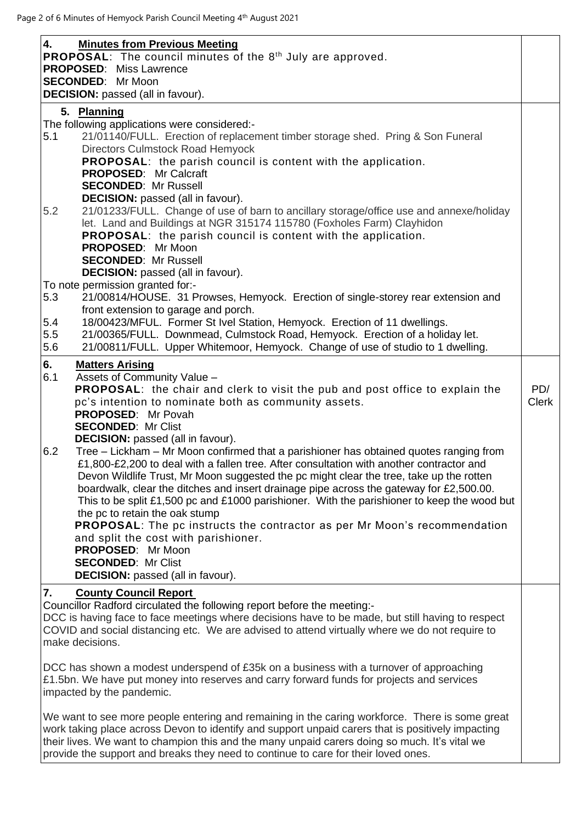| 4.<br><b>Minutes from Previous Meeting</b><br><b>PROPOSAL:</b> The council minutes of the $8th$ July are approved.<br><b>PROPOSED:</b> Miss Lawrence<br><b>SECONDED:</b> Mr Moon<br><b>DECISION:</b> passed (all in favour). |              |
|------------------------------------------------------------------------------------------------------------------------------------------------------------------------------------------------------------------------------|--------------|
| 5. Planning                                                                                                                                                                                                                  |              |
| The following applications were considered:-                                                                                                                                                                                 |              |
| 21/01140/FULL. Erection of replacement timber storage shed. Pring & Son Funeral<br>5.1                                                                                                                                       |              |
| Directors Culmstock Road Hemyock                                                                                                                                                                                             |              |
|                                                                                                                                                                                                                              |              |
| <b>PROPOSAL:</b> the parish council is content with the application.                                                                                                                                                         |              |
| <b>PROPOSED: Mr Calcraft</b>                                                                                                                                                                                                 |              |
| <b>SECONDED: Mr Russell</b>                                                                                                                                                                                                  |              |
| <b>DECISION:</b> passed (all in favour).                                                                                                                                                                                     |              |
| 5.2<br>21/01233/FULL. Change of use of barn to ancillary storage/office use and annexe/holiday                                                                                                                               |              |
| let. Land and Buildings at NGR 315174 115780 (Foxholes Farm) Clayhidon                                                                                                                                                       |              |
| <b>PROPOSAL:</b> the parish council is content with the application.                                                                                                                                                         |              |
| PROPOSED: Mr Moon                                                                                                                                                                                                            |              |
| <b>SECONDED: Mr Russell</b>                                                                                                                                                                                                  |              |
| <b>DECISION:</b> passed (all in favour).                                                                                                                                                                                     |              |
| To note permission granted for:-                                                                                                                                                                                             |              |
| 5.3<br>21/00814/HOUSE. 31 Prowses, Hemyock. Erection of single-storey rear extension and                                                                                                                                     |              |
| front extension to garage and porch.                                                                                                                                                                                         |              |
| 5.4<br>18/00423/MFUL. Former St Ivel Station, Hemyock. Erection of 11 dwellings.                                                                                                                                             |              |
| 5.5<br>21/00365/FULL. Downmead, Culmstock Road, Hemyock. Erection of a holiday let.                                                                                                                                          |              |
| 5.6<br>21/00811/FULL. Upper Whitemoor, Hemyock. Change of use of studio to 1 dwelling.                                                                                                                                       |              |
|                                                                                                                                                                                                                              |              |
| 6.<br><b>Matters Arising</b>                                                                                                                                                                                                 |              |
| 6.1<br>Assets of Community Value -                                                                                                                                                                                           |              |
| <b>PROPOSAL:</b> the chair and clerk to visit the pub and post office to explain the                                                                                                                                         | PD/          |
| pc's intention to nominate both as community assets.                                                                                                                                                                         | <b>Clerk</b> |
| PROPOSED: Mr Povah                                                                                                                                                                                                           |              |
| <b>SECONDED: Mr Clist</b>                                                                                                                                                                                                    |              |
| <b>DECISION:</b> passed (all in favour).                                                                                                                                                                                     |              |
| Tree – Lickham – Mr Moon confirmed that a parishioner has obtained quotes ranging from<br>6.2                                                                                                                                |              |
| £1,800-£2,200 to deal with a fallen tree. After consultation with another contractor and                                                                                                                                     |              |
| Devon Wildlife Trust, Mr Moon suggested the pc might clear the tree, take up the rotten                                                                                                                                      |              |
|                                                                                                                                                                                                                              |              |
| boardwalk, clear the ditches and insert drainage pipe across the gateway for £2,500.00.                                                                                                                                      |              |
| This to be split £1,500 pc and £1000 parishioner. With the parishioner to keep the wood but                                                                                                                                  |              |
| the pc to retain the oak stump                                                                                                                                                                                               |              |
| <b>PROPOSAL:</b> The pc instructs the contractor as per Mr Moon's recommendation                                                                                                                                             |              |
| and split the cost with parishioner.                                                                                                                                                                                         |              |
| PROPOSED: Mr Moon                                                                                                                                                                                                            |              |
| <b>SECONDED: Mr Clist</b>                                                                                                                                                                                                    |              |
| <b>DECISION:</b> passed (all in favour).                                                                                                                                                                                     |              |
| <b>County Council Report</b><br>7.                                                                                                                                                                                           |              |
| Councillor Radford circulated the following report before the meeting:-                                                                                                                                                      |              |
| DCC is having face to face meetings where decisions have to be made, but still having to respect                                                                                                                             |              |
| COVID and social distancing etc. We are advised to attend virtually where we do not require to                                                                                                                               |              |
| make decisions.                                                                                                                                                                                                              |              |
|                                                                                                                                                                                                                              |              |
| DCC has shown a modest underspend of £35k on a business with a turnover of approaching                                                                                                                                       |              |
|                                                                                                                                                                                                                              |              |
| £1.5bn. We have put money into reserves and carry forward funds for projects and services                                                                                                                                    |              |
| impacted by the pandemic.                                                                                                                                                                                                    |              |
|                                                                                                                                                                                                                              |              |
| We want to see more people entering and remaining in the caring workforce. There is some great                                                                                                                               |              |
| work taking place across Devon to identify and support unpaid carers that is positively impacting                                                                                                                            |              |
| their lives. We want to champion this and the many unpaid carers doing so much. It's vital we                                                                                                                                |              |

provide the support and breaks they need to continue to care for their loved ones.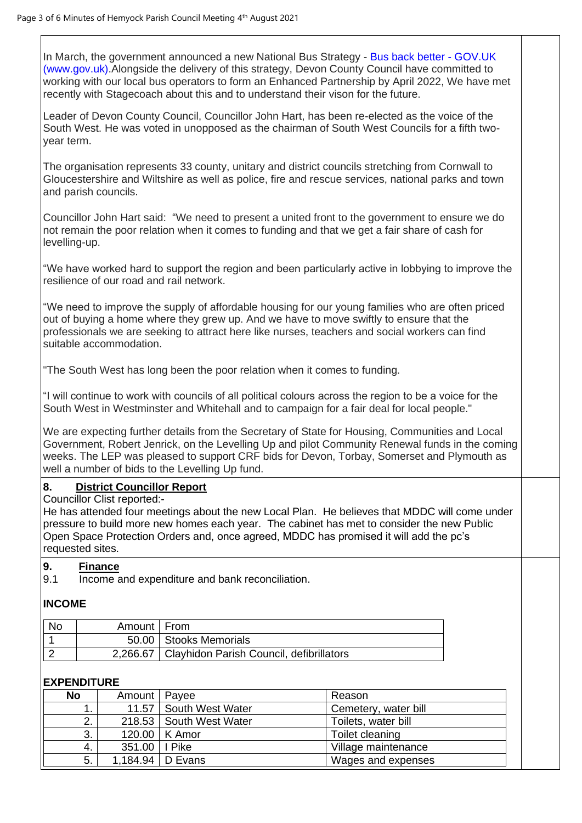In March, the government announced a new National Bus Strategy - [Bus back better -](https://eur02.safelinks.protection.outlook.com/?url=https%3A%2F%2Fwww.gov.uk%2Fgovernment%2Fpublications%2Fbus-back-better&data=04%7C01%7CAndrea.Davis%40devon.gov.uk%7C70201bf620074b2a0d7a08d946d3b40f%7C8da13783cb68443fbb4b997f77fd5bfb%7C0%7C0%7C637618697515001901%7CUnknown%7CTWFpbGZsb3d8eyJWIjoiMC4wLjAwMDAiLCJQIjoiV2luMzIiLCJBTiI6Ik1haWwiLCJXVCI6Mn0%3D%7C1000&sdata=zwzV0n8oKZ0Eju4ZCO6utw%2FzXpDzs%2FrCXX4ZPCaB11U%3D&reserved=0) GOV.UK [\(www.gov.uk\).](https://eur02.safelinks.protection.outlook.com/?url=https%3A%2F%2Fwww.gov.uk%2Fgovernment%2Fpublications%2Fbus-back-better&data=04%7C01%7CAndrea.Davis%40devon.gov.uk%7C70201bf620074b2a0d7a08d946d3b40f%7C8da13783cb68443fbb4b997f77fd5bfb%7C0%7C0%7C637618697515001901%7CUnknown%7CTWFpbGZsb3d8eyJWIjoiMC4wLjAwMDAiLCJQIjoiV2luMzIiLCJBTiI6Ik1haWwiLCJXVCI6Mn0%3D%7C1000&sdata=zwzV0n8oKZ0Eju4ZCO6utw%2FzXpDzs%2FrCXX4ZPCaB11U%3D&reserved=0)Alongside the delivery of this strategy, Devon County Council have committed to working with our local bus operators to form an Enhanced Partnership by April 2022, We have met recently with Stagecoach about this and to understand their vison for the future.

Leader of Devon County Council, Councillor John Hart, has been re-elected as the voice of the South West. He was voted in unopposed as the chairman of South West Councils for a fifth twoyear term.

The organisation represents 33 county, unitary and district councils stretching from Cornwall to Gloucestershire and Wiltshire as well as police, fire and rescue services, national parks and town and parish councils.

Councillor John Hart said: "We need to present a united front to the government to ensure we do not remain the poor relation when it comes to funding and that we get a fair share of cash for levelling-up.

"We have worked hard to support the region and been particularly active in lobbying to improve the resilience of our road and rail network.

"We need to improve the supply of affordable housing for our young families who are often priced out of buying a home where they grew up. And we have to move swiftly to ensure that the professionals we are seeking to attract here like nurses, teachers and social workers can find suitable accommodation.

"The South West has long been the poor relation when it comes to funding.

"I will continue to work with councils of all political colours across the region to be a voice for the South West in Westminster and Whitehall and to campaign for a fair deal for local people."

We are expecting further details from the Secretary of State for Housing, Communities and Local Government, Robert Jenrick, on the Levelling Up and pilot Community Renewal funds in the coming weeks. The LEP was pleased to support CRF bids for Devon, Torbay, Somerset and Plymouth as well a number of bids to the Levelling Up fund.

## **8. District Councillor Report**

Councillor Clist reported:-

He has attended four meetings about the new Local Plan. He believes that MDDC will come under pressure to build more new homes each year. The cabinet has met to consider the new Public Open Space Protection Orders and, once agreed, MDDC has promised it will add the pc's requested sites.

#### **9. Finance**

9.1 Income and expenditure and bank reconciliation.

## **INCOME**

| No | Amount   From |                                                     |
|----|---------------|-----------------------------------------------------|
|    |               | 50.00   Stooks Memorials                            |
|    |               | 2,266.67   Clayhidon Parish Council, defibrillators |

## **EXPENDITURE**

| <b>No</b> | Amount   Payee  |                           | Reason               |
|-----------|-----------------|---------------------------|----------------------|
|           |                 | 11.57 South West Water    | Cemetery, water bill |
| ົ         |                 | 218.53   South West Water | Toilets, water bill  |
| 3.        |                 | 120.00   K Amor           | Toilet cleaning      |
| -4.       | 351.00   I Pike |                           | Village maintenance  |
| 5.        |                 | 1,184.94   D Evans        | Wages and expenses   |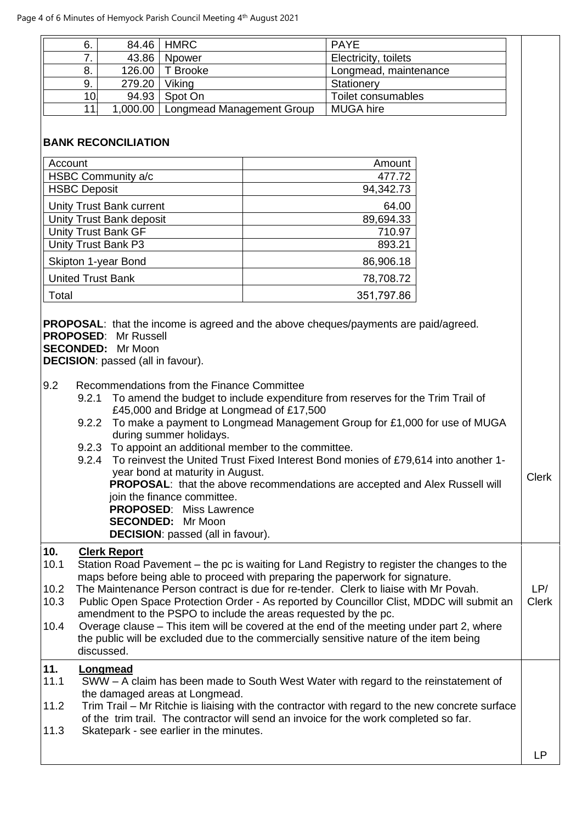| 6.  | 84.46    | ∣ HMRC                    | <b>PAYE</b>           |  |
|-----|----------|---------------------------|-----------------------|--|
|     | 43.86    | Npower                    | Electricity, toilets  |  |
| 8.  |          | 126.00   T Brooke         | Longmead, maintenance |  |
| 9.  | 279.20   | Viking                    | Stationery            |  |
| 10l |          | 94.93   Spot On           | Toilet consumables    |  |
|     | 1,000.00 | Longmead Management Group | <b>MUGA hire</b>      |  |

# **BANK RECONCILIATION**

| Account                  | Amount     |
|--------------------------|------------|
| HSBC Community a/c       | 477.72     |
| <b>HSBC Deposit</b>      | 94,342.73  |
| Unity Trust Bank current | 64.00      |
| Unity Trust Bank deposit | 89,694.33  |
| Unity Trust Bank GF      | 710.97     |
| Unity Trust Bank P3      | 893.21     |
| Skipton 1-year Bond      | 86,906.18  |
| <b>United Trust Bank</b> | 78,708.72  |
| Total                    | 351,797.86 |

**PROPOSAL**: that the income is agreed and the above cheques/payments are paid/agreed. **PROPOSED**: Mr Russell

**SECONDED:** Mr Moon

**DECISION**: passed (all in favour).

#### 9.2 Recommendations from the Finance Committee

- 9.2.1 To amend the budget to include expenditure from reserves for the Trim Trail of £45,000 and Bridge at Longmead of £17,500
- 9.2.2 To make a payment to Longmead Management Group for £1,000 for use of MUGA during summer holidays.
- 9.2.3 To appoint an additional member to the committee.
- 9.2.4 To reinvest the United Trust Fixed Interest Bond monies of £79,614 into another 1 year bond at maturity in August. **PROPOSAL**: that the above recommendations are accepted and Alex Russell will join the finance committee. **PROPOSED**: Miss Lawrence **SECONDED:** Mr Moon **DECISION**: passed (all in favour). Clerk

# **10. Clerk Report**

|      | OIVIII IIVNUII                                                                                                                                               |              |
|------|--------------------------------------------------------------------------------------------------------------------------------------------------------------|--------------|
| 10.1 | Station Road Pavement – the pc is waiting for Land Registry to register the changes to the                                                                   |              |
|      | maps before being able to proceed with preparing the paperwork for signature.                                                                                |              |
| 10.2 | The Maintenance Person contract is due for re-tender. Clerk to liaise with Mr Povah.                                                                         | LP/          |
| 10.3 | Public Open Space Protection Order - As reported by Councillor Clist, MDDC will submit an<br>amendment to the PSPO to include the areas requested by the pc. | <b>Clerk</b> |
| 10.4 | Overage clause - This item will be covered at the end of the meeting under part 2, where                                                                     |              |
|      | the public will be excluded due to the commercially sensitive nature of the item being                                                                       |              |
|      | discussed.                                                                                                                                                   |              |
|      |                                                                                                                                                              |              |
| 11.  | Longmead                                                                                                                                                     |              |
| 11.1 | SWW – A claim has been made to South West Water with regard to the reinstatement of                                                                          |              |
|      | the damaged areas at Longmead.                                                                                                                               |              |
| 11.2 | Trim Trail – Mr Ritchie is liaising with the contractor with regard to the new concrete surface                                                              |              |
|      | of the trim trail. The contractor will send an invoice for the work completed so far.                                                                        |              |
| 11.3 | Skatepark - see earlier in the minutes.                                                                                                                      |              |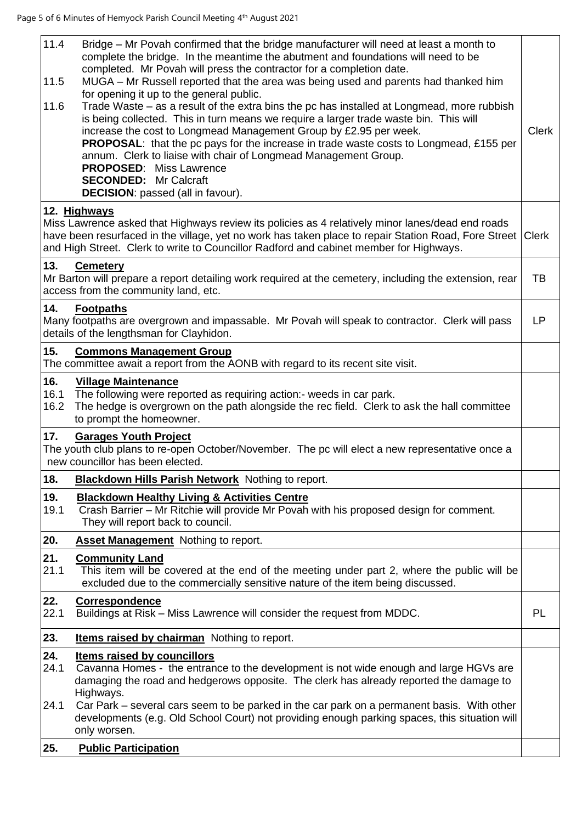| 11.4<br>11.5<br>11.6 | Bridge – Mr Povah confirmed that the bridge manufacturer will need at least a month to<br>complete the bridge. In the meantime the abutment and foundations will need to be<br>completed. Mr Povah will press the contractor for a completion date.<br>MUGA – Mr Russell reported that the area was being used and parents had thanked him<br>for opening it up to the general public.<br>Trade Waste – as a result of the extra bins the pc has installed at Longmead, more rubbish<br>is being collected. This in turn means we require a larger trade waste bin. This will<br>increase the cost to Longmead Management Group by £2.95 per week.<br><b>PROPOSAL:</b> that the pc pays for the increase in trade waste costs to Longmead, £155 per<br>annum. Clerk to liaise with chair of Longmead Management Group. | <b>Clerk</b> |
|----------------------|------------------------------------------------------------------------------------------------------------------------------------------------------------------------------------------------------------------------------------------------------------------------------------------------------------------------------------------------------------------------------------------------------------------------------------------------------------------------------------------------------------------------------------------------------------------------------------------------------------------------------------------------------------------------------------------------------------------------------------------------------------------------------------------------------------------------|--------------|
|                      | <b>PROPOSED: Miss Lawrence</b><br><b>SECONDED:</b> Mr Calcraft<br><b>DECISION:</b> passed (all in favour).                                                                                                                                                                                                                                                                                                                                                                                                                                                                                                                                                                                                                                                                                                             |              |
|                      | 12. Highways                                                                                                                                                                                                                                                                                                                                                                                                                                                                                                                                                                                                                                                                                                                                                                                                           |              |
|                      | Miss Lawrence asked that Highways review its policies as 4 relatively minor lanes/dead end roads<br>have been resurfaced in the village, yet no work has taken place to repair Station Road, Fore Street<br>and High Street. Clerk to write to Councillor Radford and cabinet member for Highways.                                                                                                                                                                                                                                                                                                                                                                                                                                                                                                                     | <b>Clerk</b> |
| 13.                  | <b>Cemetery</b><br>Mr Barton will prepare a report detailing work required at the cemetery, including the extension, rear<br>access from the community land, etc.                                                                                                                                                                                                                                                                                                                                                                                                                                                                                                                                                                                                                                                      | TB           |
| 14.                  | <b>Footpaths</b><br>Many footpaths are overgrown and impassable. Mr Povah will speak to contractor. Clerk will pass<br>details of the lengthsman for Clayhidon.                                                                                                                                                                                                                                                                                                                                                                                                                                                                                                                                                                                                                                                        | <b>LP</b>    |
| 15.                  | <b>Commons Management Group</b><br>The committee await a report from the AONB with regard to its recent site visit.                                                                                                                                                                                                                                                                                                                                                                                                                                                                                                                                                                                                                                                                                                    |              |
| 16.<br>16.1<br>16.2  | <b>Village Maintenance</b><br>The following were reported as requiring action:- weeds in car park.<br>The hedge is overgrown on the path alongside the rec field. Clerk to ask the hall committee<br>to prompt the homeowner.                                                                                                                                                                                                                                                                                                                                                                                                                                                                                                                                                                                          |              |
| 17.                  | <b>Garages Youth Project</b><br>The youth club plans to re-open October/November. The pc will elect a new representative once a<br>new councillor has been elected.                                                                                                                                                                                                                                                                                                                                                                                                                                                                                                                                                                                                                                                    |              |
| 18.                  | Blackdown Hills Parish Network Nothing to report.                                                                                                                                                                                                                                                                                                                                                                                                                                                                                                                                                                                                                                                                                                                                                                      |              |
| 19.<br>19.1          | <b>Blackdown Healthy Living &amp; Activities Centre</b><br>Crash Barrier - Mr Ritchie will provide Mr Povah with his proposed design for comment.<br>They will report back to council.                                                                                                                                                                                                                                                                                                                                                                                                                                                                                                                                                                                                                                 |              |
| 20.                  | <b>Asset Management</b> Nothing to report.                                                                                                                                                                                                                                                                                                                                                                                                                                                                                                                                                                                                                                                                                                                                                                             |              |
| 21.<br>21.1          | <b>Community Land</b><br>This item will be covered at the end of the meeting under part 2, where the public will be<br>excluded due to the commercially sensitive nature of the item being discussed.                                                                                                                                                                                                                                                                                                                                                                                                                                                                                                                                                                                                                  |              |
| 22.<br>22.1          | Correspondence<br>Buildings at Risk – Miss Lawrence will consider the request from MDDC.                                                                                                                                                                                                                                                                                                                                                                                                                                                                                                                                                                                                                                                                                                                               | PL           |
| 23.                  | <b>Items raised by chairman</b> Nothing to report.                                                                                                                                                                                                                                                                                                                                                                                                                                                                                                                                                                                                                                                                                                                                                                     |              |
| 24.<br>24.1          | <b>Items raised by councillors</b><br>Cavanna Homes - the entrance to the development is not wide enough and large HGVs are<br>damaging the road and hedgerows opposite. The clerk has already reported the damage to<br>Highways.                                                                                                                                                                                                                                                                                                                                                                                                                                                                                                                                                                                     |              |
| 24.1                 | Car Park – several cars seem to be parked in the car park on a permanent basis. With other<br>developments (e.g. Old School Court) not providing enough parking spaces, this situation will<br>only worsen.                                                                                                                                                                                                                                                                                                                                                                                                                                                                                                                                                                                                            |              |
| 25.                  | <b>Public Participation</b>                                                                                                                                                                                                                                                                                                                                                                                                                                                                                                                                                                                                                                                                                                                                                                                            |              |